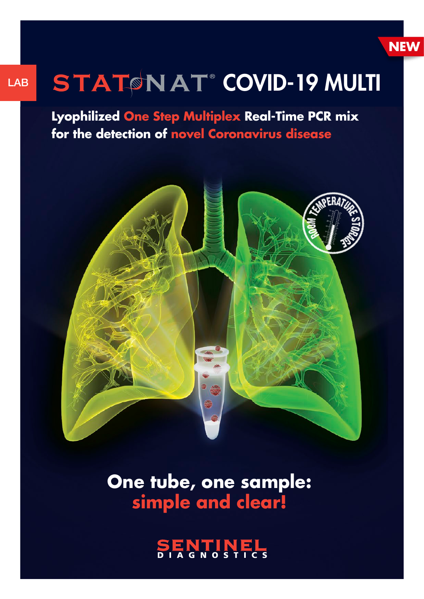

# LAB STATONAT<sup>®</sup> COVID-19 MULTI

**Lyophilized One Step Multiplex Real-Time PCR mix for the detection of novel Coronavirus disease**



**One tube, one sample: simple and clear!**